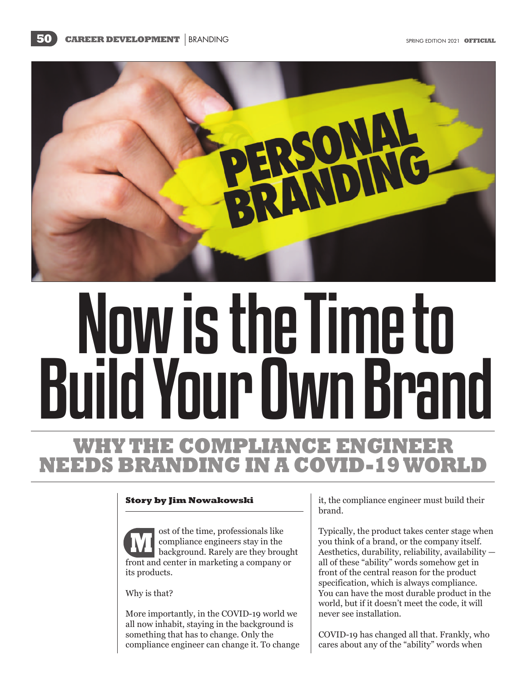

# Now is the Time to BuildYourOwnBrand

# WHY **COMPLIANCE ENGINEER NEEDS BRANDING IN A COVID-19**

# **Story by Jim Nowakowski**

ost of the time, professionals like compliance engineers stay in the background. Rarely are they brought front and center in marketing a company or its products. **M**

Why is that?

More importantly, in the COVID-19 world we all now inhabit, staying in the background is something that has to change. Only the compliance engineer can change it. To change it, the compliance engineer must build their brand.

Typically, the product takes center stage when you think of a brand, or the company itself. Aesthetics, durability, reliability, availability all of these "ability" words somehow get in front of the central reason for the product specification, which is always compliance. You can have the most durable product in the world, but if it doesn't meet the code, it will never see installation.

COVID-19 has changed all that. Frankly, who cares about any of the "ability" words when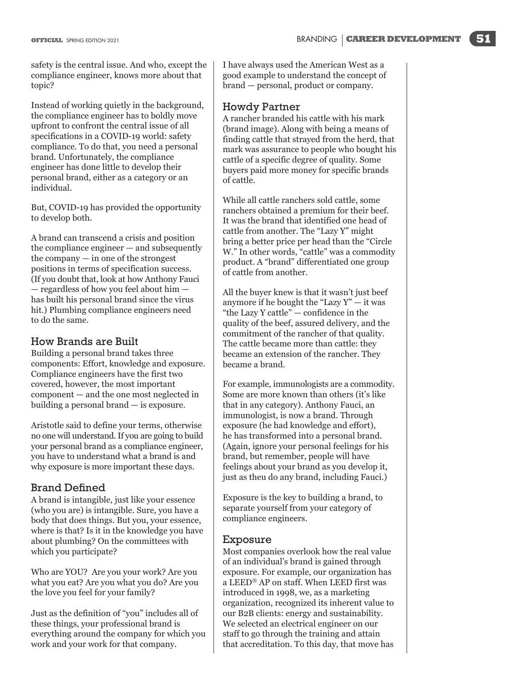safety is the central issue. And who, except the compliance engineer, knows more about that topic?

Instead of working quietly in the background, the compliance engineer has to boldly move upfront to confront the central issue of all specifications in a COVID-19 world: safety compliance. To do that, you need a personal brand. Unfortunately, the compliance engineer has done little to develop their personal brand, either as a category or an individual.

But, COVID-19 has provided the opportunity to develop both.

A brand can transcend a crisis and position the compliance engineer — and subsequently the company — in one of the strongest positions in terms of specification success. (If you doubt that, look at how Anthony Fauci — regardless of how you feel about him has built his personal brand since the virus hit.) Plumbing compliance engineers need to do the same.

# How Brands are Built

Building a personal brand takes three components: Effort, knowledge and exposure. Compliance engineers have the first two covered, however, the most important component — and the one most neglected in building a personal brand — is exposure.

Aristotle said to define your terms, otherwise no one will understand. If you are going to build your personal brand as a compliance engineer, you have to understand what a brand is and why exposure is more important these days.

# Brand Defined

A brand is intangible, just like your essence (who you are) is intangible. Sure, you have a body that does things. But you, your essence, where is that? Is it in the knowledge you have about plumbing? On the committees with which you participate?

Who are YOU? Are you your work? Are you what you eat? Are you what you do? Are you the love you feel for your family?

Just as the definition of "you" includes all of these things, your professional brand is everything around the company for which you work and your work for that company.

I have always used the American West as a good example to understand the concept of brand — personal, product or company.

# Howdy Partner

A rancher branded his cattle with his mark (brand image). Along with being a means of finding cattle that strayed from the herd, that mark was assurance to people who bought his cattle of a specific degree of quality. Some buyers paid more money for specific brands of cattle.

While all cattle ranchers sold cattle, some ranchers obtained a premium for their beef. It was the brand that identified one head of cattle from another. The "Lazy Y" might bring a better price per head than the "Circle W." In other words, "cattle" was a commodity product. A "brand" differentiated one group of cattle from another.

All the buyer knew is that it wasn't just beef anymore if he bought the "Lazy  $Y" - it$  was "the Lazy Y cattle" — confidence in the quality of the beef, assured delivery, and the commitment of the rancher of that quality. The cattle became more than cattle: they became an extension of the rancher. They became a brand.

For example, immunologists are a commodity. Some are more known than others (it's like that in any category). Anthony Fauci, an immunologist, is now a brand. Through exposure (he had knowledge and effort), he has transformed into a personal brand. (Again, ignore your personal feelings for his brand, but remember, people will have feelings about your brand as you develop it, just as theu do any brand, including Fauci.)

Exposure is the key to building a brand, to separate yourself from your category of compliance engineers.

# Exposure

Most companies overlook how the real value of an individual's brand is gained through exposure. For example, our organization has a LEED® AP on staff. When LEED first was introduced in 1998, we, as a marketing organization, recognized its inherent value to our B2B clients: energy and sustainability. We selected an electrical engineer on our staff to go through the training and attain that accreditation. To this day, that move has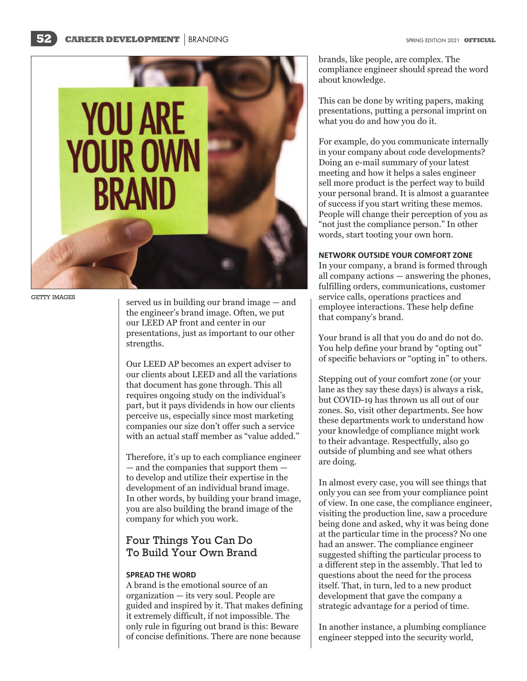

GETTY IMAGES

served us in building our brand image — and the engineer's brand image. Often, we put our LEED AP front and center in our presentations, just as important to our other strengths.

Our LEED AP becomes an expert adviser to our clients about LEED and all the variations that document has gone through. This all requires ongoing study on the individual's part, but it pays dividends in how our clients perceive us, especially since most marketing companies our size don't offer such a service with an actual staff member as "value added."

Therefore, it's up to each compliance engineer — and the companies that support them to develop and utilize their expertise in the development of an individual brand image. In other words, by building your brand image, you are also building the brand image of the company for which you work.

# Four Things You Can Do To Build Your Own Brand

# **SPREAD THE WORD**

A brand is the emotional source of an organization — its very soul. People are guided and inspired by it. That makes defining it extremely difficult, if not impossible. The only rule in figuring out brand is this: Beware of concise definitions. There are none because

brands, like people, are complex. The compliance engineer should spread the word about knowledge.

This can be done by writing papers, making presentations, putting a personal imprint on what you do and how you do it.

For example, do you communicate internally in your company about code developments? Doing an e-mail summary of your latest meeting and how it helps a sales engineer sell more product is the perfect way to build your personal brand. It is almost a guarantee of success if you start writing these memos. People will change their perception of you as "not just the compliance person." In other words, start tooting your own horn.

### **NETWORK OUTSIDE YOUR COMFORT ZONE**

In your company, a brand is formed through all company actions — answering the phones, fulfilling orders, communications, customer service calls, operations practices and employee interactions. These help define that company's brand.

Your brand is all that you do and do not do. You help define your brand by "opting out" of specific behaviors or "opting in" to others.

Stepping out of your comfort zone (or your lane as they say these days) is always a risk, but COVID-19 has thrown us all out of our zones. So, visit other departments. See how these departments work to understand how your knowledge of compliance might work to their advantage. Respectfully, also go outside of plumbing and see what others are doing.

In almost every case, you will see things that only you can see from your compliance point of view. In one case, the compliance engineer, visiting the production line, saw a procedure being done and asked, why it was being done at the particular time in the process? No one had an answer. The compliance engineer suggested shifting the particular process to a different step in the assembly. That led to questions about the need for the process itself. That, in turn, led to a new product development that gave the company a strategic advantage for a period of time.

In another instance, a plumbing compliance engineer stepped into the security world,